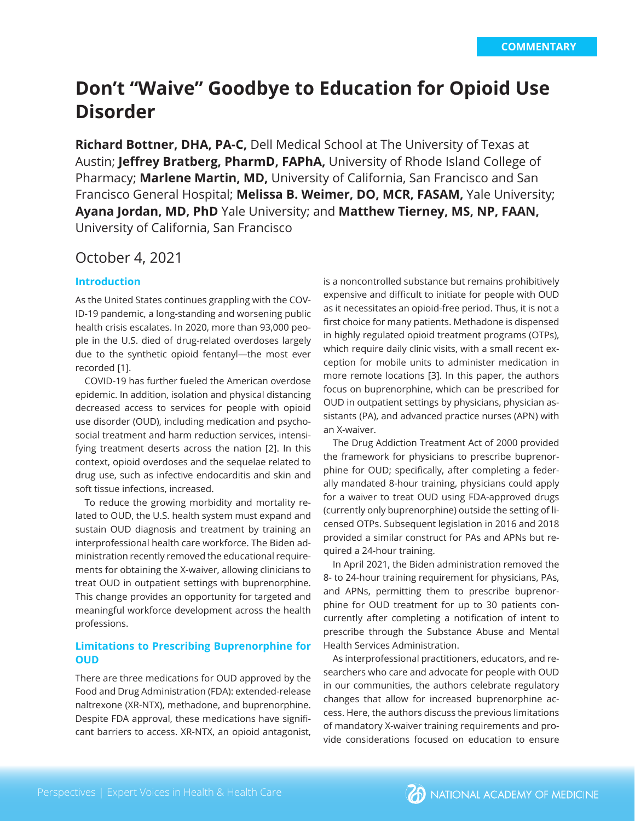# **Don't "Waive" Goodbye to Education for Opioid Use Disorder**

**Richard Bottner, DHA, PA-C,** Dell Medical School at The University of Texas at Austin; **Jeffrey Bratberg, PharmD, FAPhA,** University of Rhode Island College of Pharmacy; **Marlene Martin, MD,** University of California, San Francisco and San Francisco General Hospital; **Melissa B. Weimer, DO, MCR, FASAM,** Yale University; **Ayana Jordan, MD, PhD** Yale University; and **Matthew Tierney, MS, NP, FAAN,**  University of California, San Francisco

## October 4, 2021

#### **Introduction**

As the United States continues grappling with the COV-ID-19 pandemic, a long-standing and worsening public health crisis escalates. In 2020, more than 93,000 people in the U.S. died of drug-related overdoses largely due to the synthetic opioid fentanyl—the most ever recorded [1].

COVID-19 has further fueled the American overdose epidemic. In addition, isolation and physical distancing decreased access to services for people with opioid use disorder (OUD), including medication and psychosocial treatment and harm reduction services, intensifying treatment deserts across the nation [2]. In this context, opioid overdoses and the sequelae related to drug use, such as infective endocarditis and skin and soft tissue infections, increased.

To reduce the growing morbidity and mortality related to OUD, the U.S. health system must expand and sustain OUD diagnosis and treatment by training an interprofessional health care workforce. The Biden administration recently removed the educational requirements for obtaining the X-waiver, allowing clinicians to treat OUD in outpatient settings with buprenorphine. This change provides an opportunity for targeted and meaningful workforce development across the health professions.

#### **Limitations to Prescribing Buprenorphine for OUD**

There are three medications for OUD approved by the Food and Drug Administration (FDA): extended-release naltrexone (XR-NTX), methadone, and buprenorphine. Despite FDA approval, these medications have significant barriers to access. XR-NTX, an opioid antagonist, is a noncontrolled substance but remains prohibitively expensive and difficult to initiate for people with OUD as it necessitates an opioid-free period. Thus, it is not a first choice for many patients. Methadone is dispensed in highly regulated opioid treatment programs (OTPs), which require daily clinic visits, with a small recent exception for mobile units to administer medication in more remote locations [3]. In this paper, the authors focus on buprenorphine, which can be prescribed for OUD in outpatient settings by physicians, physician assistants (PA), and advanced practice nurses (APN) with an X-waiver.

The Drug Addiction Treatment Act of 2000 provided the framework for physicians to prescribe buprenorphine for OUD; specifically, after completing a federally mandated 8-hour training, physicians could apply for a waiver to treat OUD using FDA-approved drugs (currently only buprenorphine) outside the setting of licensed OTPs. Subsequent legislation in 2016 and 2018 provided a similar construct for PAs and APNs but required a 24-hour training.

In April 2021, the Biden administration removed the 8- to 24-hour training requirement for physicians, PAs, and APNs, permitting them to prescribe buprenorphine for OUD treatment for up to 30 patients concurrently after completing a notification of intent to prescribe through the Substance Abuse and Mental Health Services Administration.

As interprofessional practitioners, educators, and researchers who care and advocate for people with OUD in our communities, the authors celebrate regulatory changes that allow for increased buprenorphine access. Here, the authors discuss the previous limitations of mandatory X-waiver training requirements and provide considerations focused on education to ensure

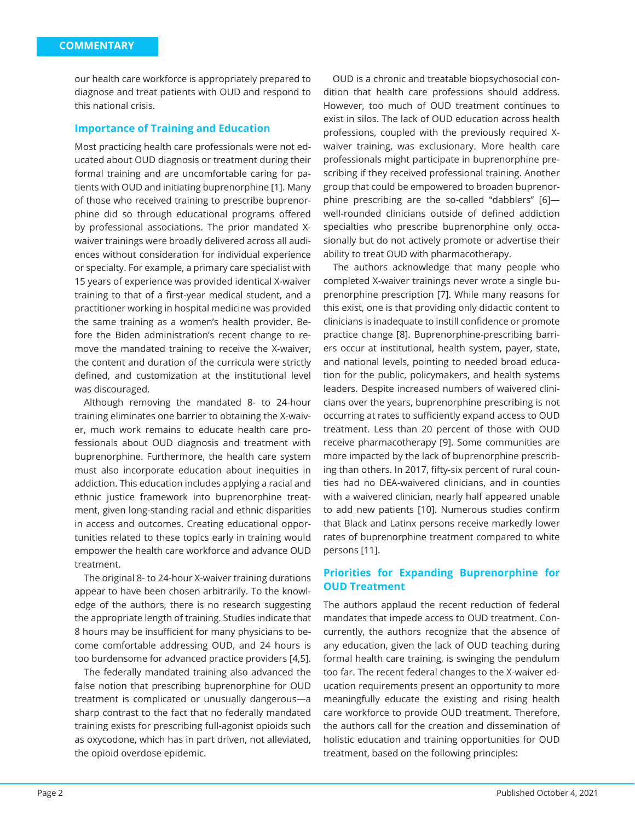our health care workforce is appropriately prepared to diagnose and treat patients with OUD and respond to this national crisis.

#### **Importance of Training and Education**

Most practicing health care professionals were not educated about OUD diagnosis or treatment during their formal training and are uncomfortable caring for patients with OUD and initiating buprenorphine [1]. Many of those who received training to prescribe buprenorphine did so through educational programs offered by professional associations. The prior mandated Xwaiver trainings were broadly delivered across all audiences without consideration for individual experience or specialty. For example, a primary care specialist with 15 years of experience was provided identical X-waiver training to that of a first-year medical student, and a practitioner working in hospital medicine was provided the same training as a women's health provider. Before the Biden administration's recent change to remove the mandated training to receive the X-waiver, the content and duration of the curricula were strictly defined, and customization at the institutional level was discouraged.

Although removing the mandated 8- to 24-hour training eliminates one barrier to obtaining the X-waiver, much work remains to educate health care professionals about OUD diagnosis and treatment with buprenorphine. Furthermore, the health care system must also incorporate education about inequities in addiction. This education includes applying a racial and ethnic justice framework into buprenorphine treatment, given long-standing racial and ethnic disparities in access and outcomes. Creating educational opportunities related to these topics early in training would empower the health care workforce and advance OUD treatment.

The original 8- to 24-hour X-waiver training durations appear to have been chosen arbitrarily. To the knowledge of the authors, there is no research suggesting the appropriate length of training. Studies indicate that 8 hours may be insufficient for many physicians to become comfortable addressing OUD, and 24 hours is too burdensome for advanced practice providers [4,5].

The federally mandated training also advanced the false notion that prescribing buprenorphine for OUD treatment is complicated or unusually dangerous—a sharp contrast to the fact that no federally mandated training exists for prescribing full-agonist opioids such as oxycodone, which has in part driven, not alleviated, the opioid overdose epidemic.

OUD is a chronic and treatable biopsychosocial condition that health care professions should address. However, too much of OUD treatment continues to exist in silos. The lack of OUD education across health professions, coupled with the previously required Xwaiver training, was exclusionary. More health care professionals might participate in buprenorphine prescribing if they received professional training. Another group that could be empowered to broaden buprenorphine prescribing are the so-called "dabblers" [6] well-rounded clinicians outside of defined addiction specialties who prescribe buprenorphine only occasionally but do not actively promote or advertise their ability to treat OUD with pharmacotherapy.

The authors acknowledge that many people who completed X-waiver trainings never wrote a single buprenorphine prescription [7]. While many reasons for this exist, one is that providing only didactic content to clinicians is inadequate to instill confidence or promote practice change [8]. Buprenorphine-prescribing barriers occur at institutional, health system, payer, state, and national levels, pointing to needed broad education for the public, policymakers, and health systems leaders. Despite increased numbers of waivered clinicians over the years, buprenorphine prescribing is not occurring at rates to sufficiently expand access to OUD treatment. Less than 20 percent of those with OUD receive pharmacotherapy [9]. Some communities are more impacted by the lack of buprenorphine prescribing than others. In 2017, fifty-six percent of rural counties had no DEA-waivered clinicians, and in counties with a waivered clinician, nearly half appeared unable to add new patients [10]. Numerous studies confirm that Black and Latinx persons receive markedly lower rates of buprenorphine treatment compared to white persons [11].

## **Priorities for Expanding Buprenorphine for OUD Treatment**

The authors applaud the recent reduction of federal mandates that impede access to OUD treatment. Concurrently, the authors recognize that the absence of any education, given the lack of OUD teaching during formal health care training, is swinging the pendulum too far. The recent federal changes to the X-waiver education requirements present an opportunity to more meaningfully educate the existing and rising health care workforce to provide OUD treatment. Therefore, the authors call for the creation and dissemination of holistic education and training opportunities for OUD treatment, based on the following principles: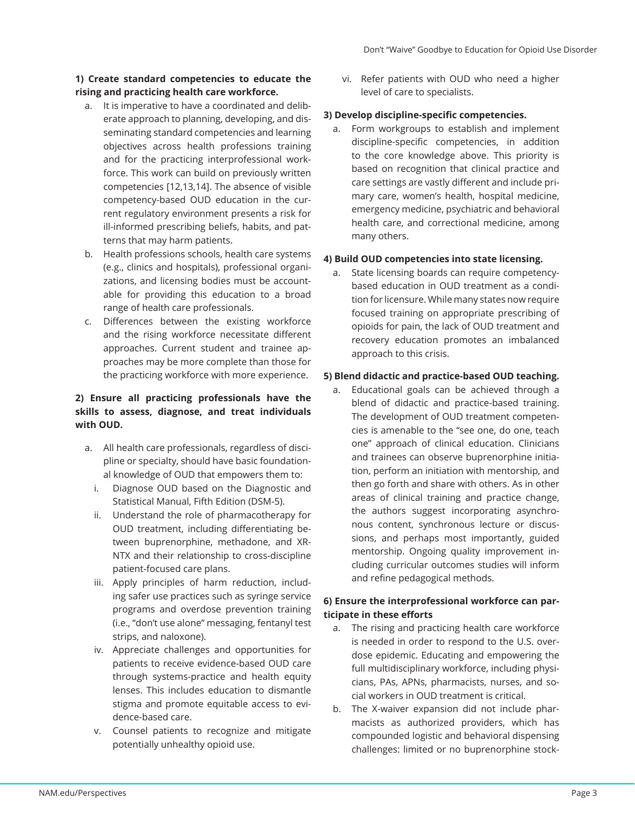## **1) Create standard competencies to educate the rising and practicing health care workforce.**

- a. It is imperative to have a coordinated and deliberate approach to planning, developing, and disseminating standard competencies and learning objectives across health professions training and for the practicing interprofessional workforce. This work can build on previously written competencies [12,13,14]. The absence of visible competency-based OUD education in the current regulatory environment presents a risk for ill-informed prescribing beliefs, habits, and patterns that may harm patients.
- b. Health professions schools, health care systems (e.g., clinics and hospitals), professional organizations, and licensing bodies must be accountable for providing this education to a broad range of health care professionals.
- c. Differences between the existing workforce and the rising workforce necessitate different approaches. Current student and trainee approaches may be more complete than those for the practicing workforce with more experience.

## **2) Ensure all practicing professionals have the skills to assess, diagnose, and treat individuals with OUD.**

- a. All health care professionals, regardless of discipline or specialty, should have basic foundational knowledge of OUD that empowers them to:
	- i. Diagnose OUD based on the Diagnostic and Statistical Manual, Fifth Edition (DSM-5).
	- ii. Understand the role of pharmacotherapy for OUD treatment, including differentiating between buprenorphine, methadone, and XR-NTX and their relationship to cross-discipline patient-focused care plans.
	- iii. Apply principles of harm reduction, including safer use practices such as syringe service programs and overdose prevention training (i.e., "don't use alone" messaging, fentanyl test strips, and naloxone).
	- iv. Appreciate challenges and opportunities for patients to receive evidence-based OUD care through systems-practice and health equity lenses. This includes education to dismantle stigma and promote equitable access to evidence-based care.
	- v. Counsel patients to recognize and mitigate potentially unhealthy opioid use.

vi. Refer patients with OUD who need a higher level of care to specialists.

## **3) Develop discipline-specific competencies.**

a. Form workgroups to establish and implement discipline-specific competencies, in addition to the core knowledge above. This priority is based on recognition that clinical practice and care settings are vastly different and include primary care, women's health, hospital medicine, emergency medicine, psychiatric and behavioral health care, and correctional medicine, among many others.

## **4) Build OUD competencies into state licensing.**

a. State licensing boards can require competencybased education in OUD treatment as a condition for licensure. While many states now require focused training on appropriate prescribing of opioids for pain, the lack of OUD treatment and recovery education promotes an imbalanced approach to this crisis.

## **5) Blend didactic and practice-based OUD teaching.**

a. Educational goals can be achieved through a blend of didactic and practice-based training. The development of OUD treatment competencies is amenable to the "see one, do one, teach one" approach of clinical education. Clinicians and trainees can observe buprenorphine initiation, perform an initiation with mentorship, and then go forth and share with others. As in other areas of clinical training and practice change, the authors suggest incorporating asynchronous content, synchronous lecture or discussions, and perhaps most importantly, guided mentorship. Ongoing quality improvement including curricular outcomes studies will inform and refine pedagogical methods.

## **6) Ensure the interprofessional workforce can participate in these efforts**

- a. The rising and practicing health care workforce is needed in order to respond to the U.S. overdose epidemic. Educating and empowering the full multidisciplinary workforce, including physicians, PAs, APNs, pharmacists, nurses, and social workers in OUD treatment is critical.
- b. The X-waiver expansion did not include pharmacists as authorized providers, which has compounded logistic and behavioral dispensing challenges: limited or no buprenorphine stock-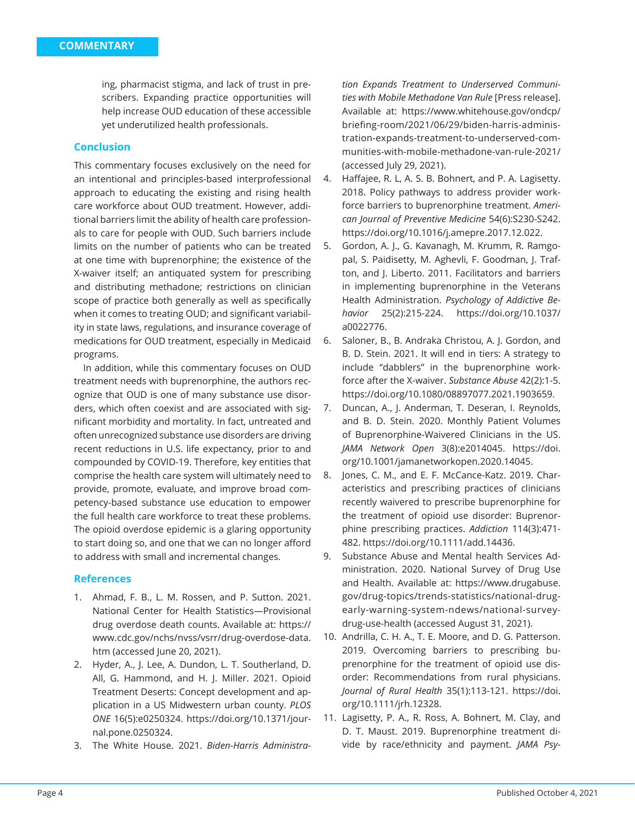ing, pharmacist stigma, and lack of trust in prescribers. Expanding practice opportunities will help increase OUD education of these accessible yet underutilized health professionals.

## **Conclusion**

This commentary focuses exclusively on the need for an intentional and principles-based interprofessional approach to educating the existing and rising health care workforce about OUD treatment. However, additional barriers limit the ability of health care professionals to care for people with OUD. Such barriers include limits on the number of patients who can be treated at one time with buprenorphine; the existence of the X-waiver itself; an antiquated system for prescribing and distributing methadone; restrictions on clinician scope of practice both generally as well as specifically when it comes to treating OUD; and significant variability in state laws, regulations, and insurance coverage of medications for OUD treatment, especially in Medicaid programs.

In addition, while this commentary focuses on OUD treatment needs with buprenorphine, the authors recognize that OUD is one of many substance use disorders, which often coexist and are associated with significant morbidity and mortality. In fact, untreated and often unrecognized substance use disorders are driving recent reductions in U.S. life expectancy, prior to and compounded by COVID-19. Therefore, key entities that comprise the health care system will ultimately need to provide, promote, evaluate, and improve broad competency-based substance use education to empower the full health care workforce to treat these problems. The opioid overdose epidemic is a glaring opportunity to start doing so, and one that we can no longer afford to address with small and incremental changes.

## **References**

- 1. Ahmad, F. B., L. M. Rossen, and P. Sutton. 2021. National Center for Health Statistics—Provisional drug overdose death counts. Available at: https:// www.cdc.gov/nchs/nvss/vsrr/drug-overdose-data. htm (accessed June 20, 2021).
- 2. Hyder, A., J. Lee, A. Dundon, L. T. Southerland, D. All, G. Hammond, and H. J. Miller. 2021. Opioid Treatment Deserts: Concept development and application in a US Midwestern urban county. *PLOS ONE* 16(5):e0250324. https://doi.org/10.1371/journal.pone.0250324.
- 3. The White House. 2021. *Biden-Harris Administra-*

*tion Expands Treatment to Underserved Communities with Mobile Methadone Van Rule* [Press release]. Available at: https://www.whitehouse.gov/ondcp/ briefing-room/2021/06/29/biden-harris-administration-expands-treatment-to-underserved-communities-with-mobile-methadone-van-rule-2021/ (accessed July 29, 2021).

- 4. Haffajee, R. L, A. S. B. Bohnert, and P. A. Lagisetty. 2018. Policy pathways to address provider workforce barriers to buprenorphine treatment. *American Journal of Preventive Medicine* 54(6):S230-S242. https://doi.org/10.1016/j.amepre.2017.12.022.
- 5. Gordon, A. J., G. Kavanagh, M. Krumm, R. Ramgopal, S. Paidisetty, M. Aghevli, F. Goodman, J. Trafton, and J. Liberto. 2011. Facilitators and barriers in implementing buprenorphine in the Veterans Health Administration. *Psychology of Addictive Behavior* 25(2):215-224. https://doi.org/10.1037/ a0022776.
- 6. Saloner, B., B. Andraka Christou, A. J. Gordon, and B. D. Stein. 2021. It will end in tiers: A strategy to include "dabblers" in the buprenorphine workforce after the X-waiver. *Substance Abuse* 42(2):1-5. https://doi.org/10.1080/08897077.2021.1903659.
- 7. Duncan, A., J. Anderman, T. Deseran, I. Reynolds, and B. D. Stein. 2020. Monthly Patient Volumes of Buprenorphine-Waivered Clinicians in the US. *JAMA Network Open* 3(8):e2014045. https://doi. org/10.1001/jamanetworkopen.2020.14045.
- 8. Jones, C. M., and E. F. McCance-Katz. 2019. Characteristics and prescribing practices of clinicians recently waivered to prescribe buprenorphine for the treatment of opioid use disorder: Buprenorphine prescribing practices. *Addiction* 114(3):471- 482. https://doi.org/10.1111/add.14436.
- 9. Substance Abuse and Mental health Services Administration. 2020. National Survey of Drug Use and Health. Available at: https://www.drugabuse. gov/drug-topics/trends-statistics/national-drugearly-warning-system-ndews/national-surveydrug-use-health (accessed August 31, 2021).
- 10. Andrilla, C. H. A., T. E. Moore, and D. G. Patterson. 2019. Overcoming barriers to prescribing buprenorphine for the treatment of opioid use disorder: Recommendations from rural physicians. *Journal of Rural Health* 35(1):113-121. https://doi. org/10.1111/jrh.12328.
- 11. Lagisetty, P. A., R. Ross, A. Bohnert, M. Clay, and D. T. Maust. 2019. Buprenorphine treatment divide by race/ethnicity and payment. *JAMA Psy-*